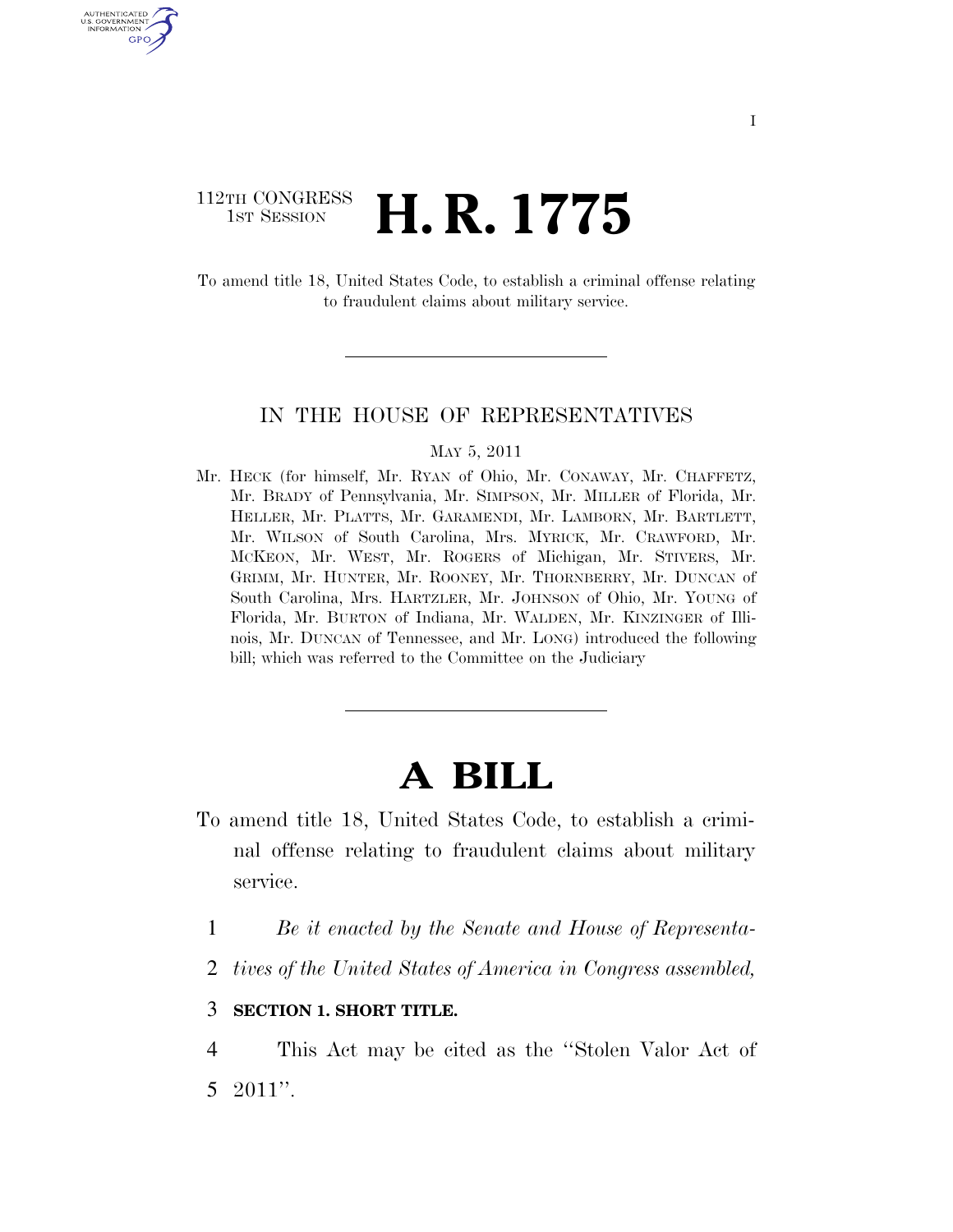### 112TH CONGRESS **1st Session H. R. 1775**

U.S. GOVERNMENT GPO

> To amend title 18, United States Code, to establish a criminal offense relating to fraudulent claims about military service.

### IN THE HOUSE OF REPRESENTATIVES

### MAY 5, 2011

Mr. HECK (for himself, Mr. RYAN of Ohio, Mr. CONAWAY, Mr. CHAFFETZ, Mr. BRADY of Pennsylvania, Mr. SIMPSON, Mr. MILLER of Florida, Mr. HELLER, Mr. PLATTS, Mr. GARAMENDI, Mr. LAMBORN, Mr. BARTLETT, Mr. WILSON of South Carolina, Mrs. MYRICK, Mr. CRAWFORD, Mr. MCKEON, Mr. WEST, Mr. ROGERS of Michigan, Mr. STIVERS, Mr. GRIMM, Mr. HUNTER, Mr. ROONEY, Mr. THORNBERRY, Mr. DUNCAN of South Carolina, Mrs. HARTZLER, Mr. JOHNSON of Ohio, Mr. YOUNG of Florida, Mr. BURTON of Indiana, Mr. WALDEN, Mr. KINZINGER of Illinois, Mr. DUNCAN of Tennessee, and Mr. LONG) introduced the following bill; which was referred to the Committee on the Judiciary

# **A BILL**

- To amend title 18, United States Code, to establish a criminal offense relating to fraudulent claims about military service.
	- 1 *Be it enacted by the Senate and House of Representa-*
	- 2 *tives of the United States of America in Congress assembled,*

### 3 **SECTION 1. SHORT TITLE.**

4 This Act may be cited as the ''Stolen Valor Act of 5 2011''.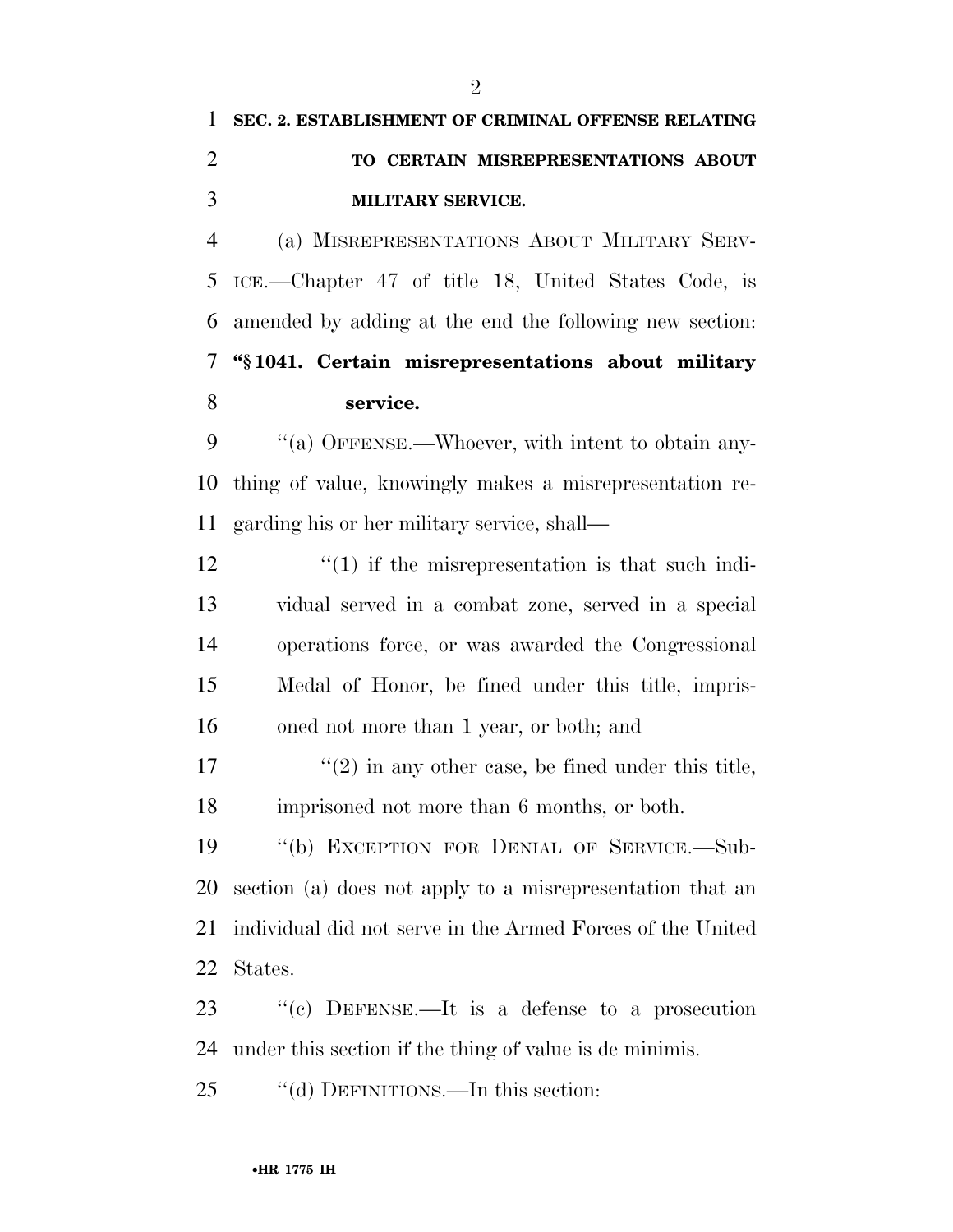## **SEC. 2. ESTABLISHMENT OF CRIMINAL OFFENSE RELATING TO CERTAIN MISREPRESENTATIONS ABOUT MILITARY SERVICE.**

 (a) MISREPRESENTATIONS ABOUT MILITARY SERV- ICE.—Chapter 47 of title 18, United States Code, is amended by adding at the end the following new section: **''§ 1041. Certain misrepresentations about military service.** 

9 "(a) OFFENSE.—Whoever, with intent to obtain any- thing of value, knowingly makes a misrepresentation re-garding his or her military service, shall—

 $\binom{12}{1}$  if the misrepresentation is that such indi- vidual served in a combat zone, served in a special operations force, or was awarded the Congressional Medal of Honor, be fined under this title, impris-oned not more than 1 year, or both; and

17  $\frac{1}{2}$  in any other case, be fined under this title, imprisoned not more than 6 months, or both.

 ''(b) EXCEPTION FOR DENIAL OF SERVICE.—Sub- section (a) does not apply to a misrepresentation that an individual did not serve in the Armed Forces of the United States.

 ''(c) DEFENSE.—It is a defense to a prosecution under this section if the thing of value is de minimis.

25 "(d) DEFINITIONS.—In this section: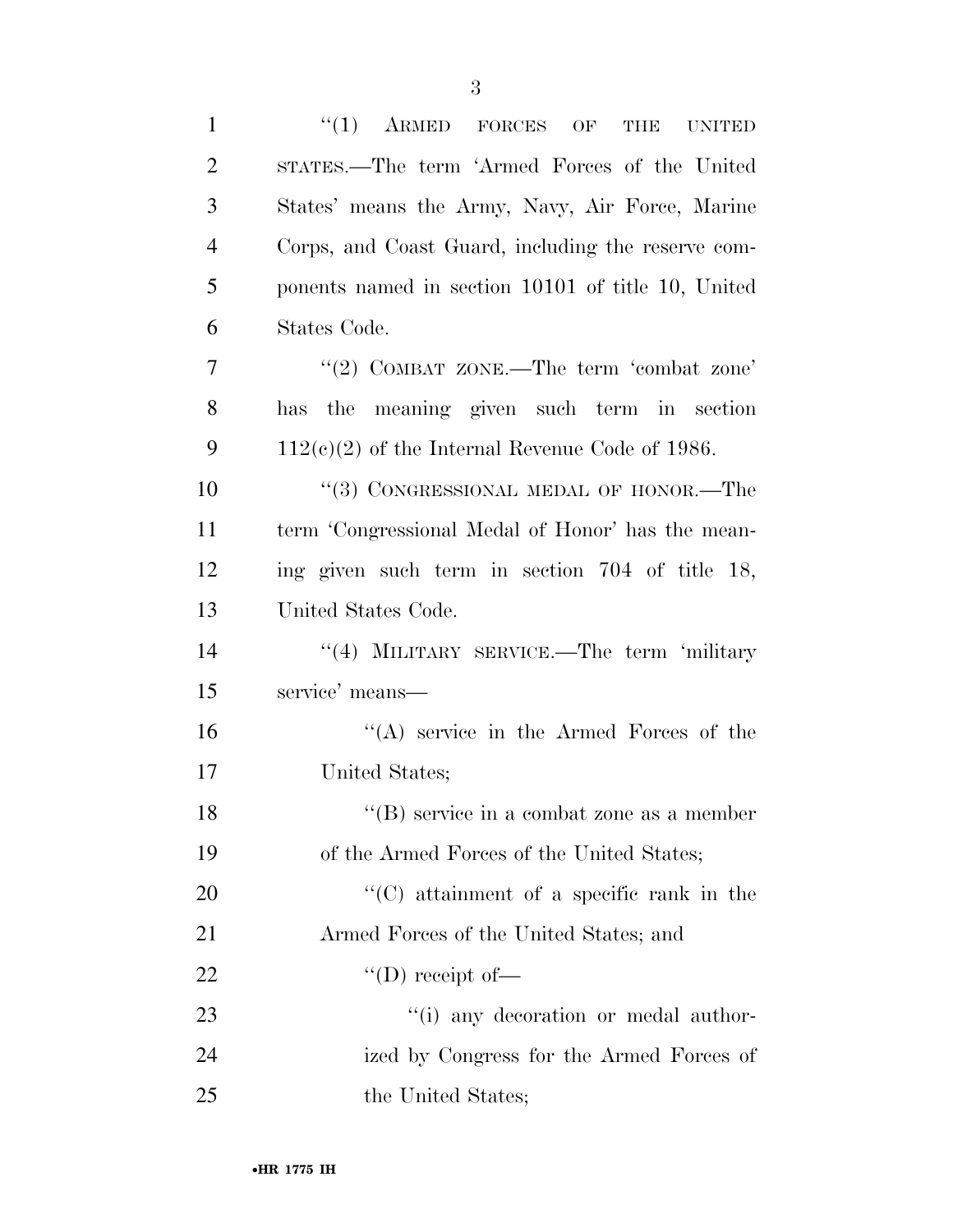| $\mathbf{1}$   | $(1)$ ARMED FORCES OF<br>THE<br><b>UNITED</b>      |
|----------------|----------------------------------------------------|
| $\overline{2}$ | STATES.—The term 'Armed Forces of the United       |
| 3              | States' means the Army, Navy, Air Force, Marine    |
| $\overline{4}$ | Corps, and Coast Guard, including the reserve com- |
| 5              | ponents named in section 10101 of title 10, United |
| 6              | States Code.                                       |
| 7              | "(2) COMBAT ZONE.—The term 'combat zone'           |
| 8              | has the meaning given such term in section         |
| 9              | $112(c)(2)$ of the Internal Revenue Code of 1986.  |
| 10             | "(3) CONGRESSIONAL MEDAL OF HONOR.—The             |
| 11             | term 'Congressional Medal of Honor' has the mean-  |
| 12             | ing given such term in section 704 of title 18,    |
| 13             | United States Code.                                |
| 14             | "(4) MILITARY SERVICE.—The term 'military          |
| 15             | service' means—                                    |
| 16             | "(A) service in the Armed Forces of the            |
| 17             | United States;                                     |
| 18             | "(B) service in a combat zone as a member          |
| 19             | of the Armed Forces of the United States;          |
| <b>20</b>      | "(C) attainment of a specific rank in the          |
| 21             | Armed Forces of the United States; and             |
| <u>22</u>      | $\lq\lq$ (D) receipt of —                          |
| 23             | "(i) any decoration or medal author-               |
| 24             | ized by Congress for the Armed Forces of           |
| 25             | the United States;                                 |